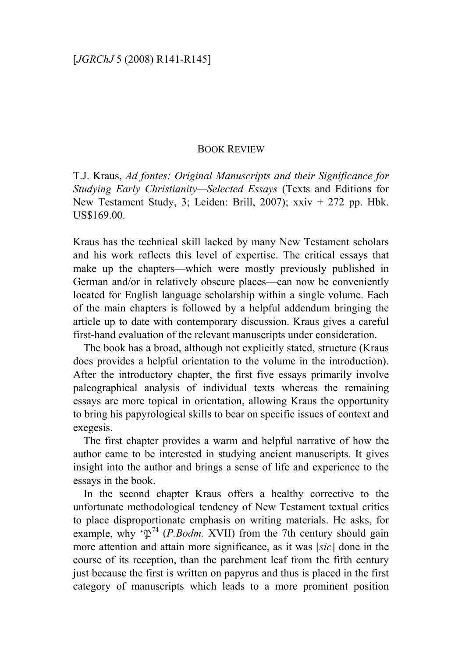## BOOK REVIEW

T.J. Kraus, *Ad fontes: Original Manuscripts and their Significance for Studying Early Christianity—Selected Essays* (Texts and Editions for New Testament Study, 3; Leiden: Brill, 2007); xxiv + 272 pp. Hbk. US\$169.00.

Kraus has the technical skill lacked by many New Testament scholars and his work reflects this level of expertise. The critical essays that make up the chapters—which were mostly previously published in German and/or in relatively obscure places—can now be conveniently located for English language scholarship within a single volume. Each of the main chapters is followed by a helpful addendum bringing the article up to date with contemporary discussion. Kraus gives a careful first-hand evaluation of the relevant manuscripts under consideration.

The book has a broad, although not explicitly stated, structure (Kraus does provides a helpful orientation to the volume in the introduction). After the introductory chapter, the first five essays primarily involve paleographical analysis of individual texts whereas the remaining essays are more topical in orientation, allowing Kraus the opportunity to bring his papyrological skills to bear on specific issues of context and exegesis.

The first chapter provides a warm and helpful narrative of how the author came to be interested in studying ancient manuscripts. It gives insight into the author and brings a sense of life and experience to the essays in the book.

In the second chapter Kraus offers a healthy corrective to the unfortunate methodological tendency of New Testament textual critics to place disproportionate emphasis on writing materials. He asks, for example, why  $\sqrt{\omega}$ <sup>74</sup> (*P.Bodm.* XVII) from the 7th century should gain more attention and attain more significance, as it was [*sic*] done in the course of its reception, than the parchment leaf from the fifth century just because the first is written on papyrus and thus is placed in the first category of manuscripts which leads to a more prominent position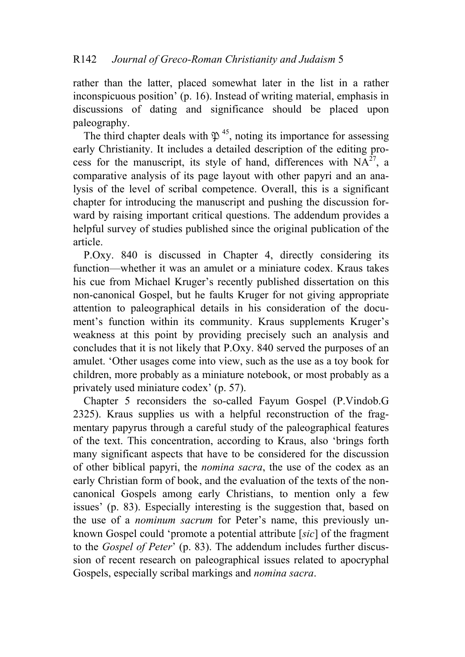rather than the latter, placed somewhat later in the list in a rather inconspicuous position' (p. 16). Instead of writing material, emphasis in discussions of dating and significance should be placed upon paleography.

The third chapter deals with  $\mathfrak{P}^{45}$ , noting its importance for assessing early Christianity. It includes a detailed description of the editing process for the manuscript, its style of hand, differences with  $NA^{27}$ , a comparative analysis of its page layout with other papyri and an analysis of the level of scribal competence. Overall, this is a significant chapter for introducing the manuscript and pushing the discussion forward by raising important critical questions. The addendum provides a helpful survey of studies published since the original publication of the article.

P.Oxy. 840 is discussed in Chapter 4, directly considering its function—whether it was an amulet or a miniature codex. Kraus takes his cue from Michael Kruger's recently published dissertation on this non-canonical Gospel, but he faults Kruger for not giving appropriate attention to paleographical details in his consideration of the document's function within its community. Kraus supplements Kruger's weakness at this point by providing precisely such an analysis and concludes that it is not likely that P.Oxy. 840 served the purposes of an amulet. 'Other usages come into view, such as the use as a toy book for children, more probably as a miniature notebook, or most probably as a privately used miniature codex' (p. 57).

Chapter 5 reconsiders the so-called Fayum Gospel (P.Vindob.G 2325). Kraus supplies us with a helpful reconstruction of the fragmentary papyrus through a careful study of the paleographical features of the text. This concentration, according to Kraus, also 'brings forth many significant aspects that have to be considered for the discussion of other biblical papyri, the *nomina sacra*, the use of the codex as an early Christian form of book, and the evaluation of the texts of the noncanonical Gospels among early Christians, to mention only a few issues' (p. 83). Especially interesting is the suggestion that, based on the use of a *nominum sacrum* for Peter's name, this previously unknown Gospel could 'promote a potential attribute [*sic*] of the fragment to the *Gospel of Peter*' (p. 83). The addendum includes further discussion of recent research on paleographical issues related to apocryphal Gospels, especially scribal markings and *nomina sacra*.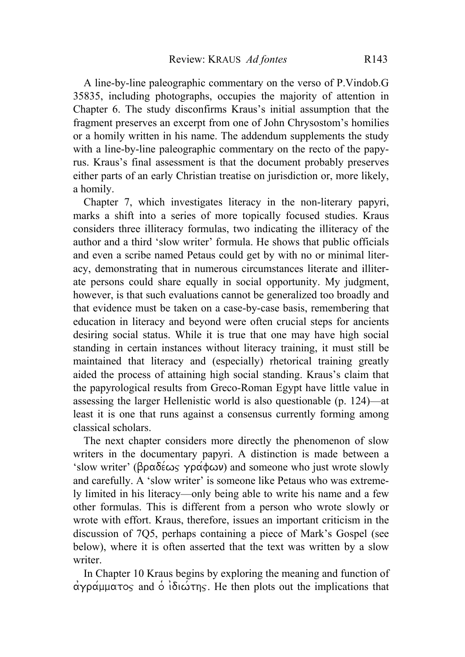A line-by-line paleographic commentary on the verso of P.Vindob.G 35835, including photographs, occupies the majority of attention in Chapter 6. The study disconfirms Kraus's initial assumption that the fragment preserves an excerpt from one of John Chrysostom's homilies or a homily written in his name. The addendum supplements the study with a line-by-line paleographic commentary on the recto of the papyrus. Kraus's final assessment is that the document probably preserves either parts of an early Christian treatise on jurisdiction or, more likely, a homily.

Chapter 7, which investigates literacy in the non-literary papyri, marks a shift into a series of more topically focused studies. Kraus considers three illiteracy formulas, two indicating the illiteracy of the author and a third 'slow writer' formula. He shows that public officials and even a scribe named Petaus could get by with no or minimal literacy, demonstrating that in numerous circumstances literate and illiterate persons could share equally in social opportunity. My judgment, however, is that such evaluations cannot be generalized too broadly and that evidence must be taken on a case-by-case basis, remembering that education in literacy and beyond were often crucial steps for ancients desiring social status. While it is true that one may have high social standing in certain instances without literacy training, it must still be maintained that literacy and (especially) rhetorical training greatly aided the process of attaining high social standing. Kraus's claim that the papyrological results from Greco-Roman Egypt have little value in assessing the larger Hellenistic world is also questionable (p. 124)—at least it is one that runs against a consensus currently forming among classical scholars.

The next chapter considers more directly the phenomenon of slow writers in the documentary papyri. A distinction is made between a 'slow writer' ( $\beta \rho \alpha \delta \acute{\epsilon} \omega$  yp $\alpha \acute{\phi} \omega$ ) and someone who just wrote slowly and carefully. A 'slow writer' is someone like Petaus who was extremely limited in his literacy—only being able to write his name and a few other formulas. This is different from a person who wrote slowly or wrote with effort. Kraus, therefore, issues an important criticism in the discussion of 7Q5, perhaps containing a piece of Mark's Gospel (see below), where it is often asserted that the text was written by a slow writer.

In Chapter 10 Kraus begins by exploring the meaning and function of  $\alpha y \propto \alpha \mu \alpha \cos \alpha$  and  $\delta \alpha \sin \gamma$ . He then plots out the implications that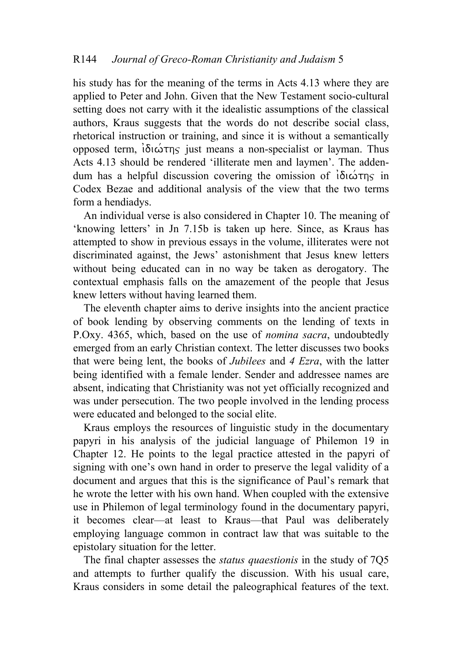his study has for the meaning of the terms in Acts 4.13 where they are applied to Peter and John. Given that the New Testament socio-cultural setting does not carry with it the idealistic assumptions of the classical authors, Kraus suggests that the words do not describe social class, rhetorical instruction or training, and since it is without a semantically opposed term,  $\delta$ ιώτης just means a non-specialist or layman. Thus Acts 4.13 should be rendered 'illiterate men and laymen'. The addendum has a helpful discussion covering the omission of  $\delta$  $\omega$ The in Codex Bezae and additional analysis of the view that the two terms form a hendiadys.

An individual verse is also considered in Chapter 10. The meaning of 'knowing letters' in Jn 7.15b is taken up here. Since, as Kraus has attempted to show in previous essays in the volume, illiterates were not discriminated against, the Jews' astonishment that Jesus knew letters without being educated can in no way be taken as derogatory. The contextual emphasis falls on the amazement of the people that Jesus knew letters without having learned them.

The eleventh chapter aims to derive insights into the ancient practice of book lending by observing comments on the lending of texts in P.Oxy. 4365, which, based on the use of *nomina sacra*, undoubtedly emerged from an early Christian context. The letter discusses two books that were being lent, the books of *Jubilees* and *4 Ezra*, with the latter being identified with a female lender. Sender and addressee names are absent, indicating that Christianity was not yet officially recognized and was under persecution. The two people involved in the lending process were educated and belonged to the social elite.

Kraus employs the resources of linguistic study in the documentary papyri in his analysis of the judicial language of Philemon 19 in Chapter 12. He points to the legal practice attested in the papyri of signing with one's own hand in order to preserve the legal validity of a document and argues that this is the significance of Paul's remark that he wrote the letter with his own hand. When coupled with the extensive use in Philemon of legal terminology found in the documentary papyri, it becomes clear—at least to Kraus—that Paul was deliberately employing language common in contract law that was suitable to the epistolary situation for the letter.

The final chapter assesses the *status quaestionis* in the study of 7Q5 and attempts to further qualify the discussion. With his usual care, Kraus considers in some detail the paleographical features of the text.